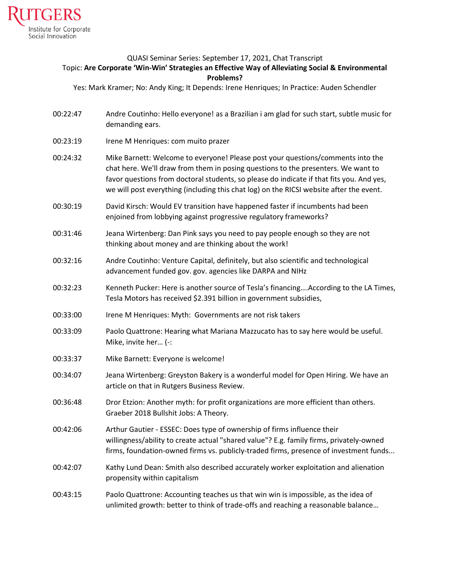

## QUASI Seminar Series: September 17, 2021, Chat Transcript Topic: **Are Corporate 'Win-Win' Strategies an Effective Way of Alleviating Social & Environmental Problems?**

Yes: Mark Kramer; No: Andy King; It Depends: Irene Henriques; In Practice: Auden Schendler

- 00:22:47 Andre Coutinho: Hello everyone! as a Brazilian i am glad for such start, subtle music for demanding ears.
- 00:23:19 Irene M Henriques: com muito prazer
- 00:24:32 Mike Barnett: Welcome to everyone! Please post your questions/comments into the chat here. We'll draw from them in posing questions to the presenters. We want to favor questions from doctoral students, so please do indicate if that fits you. And yes, we will post everything (including this chat log) on the RICSI website after the event.
- 00:30:19 David Kirsch: Would EV transition have happened faster if incumbents had been enjoined from lobbying against progressive regulatory frameworks?
- 00:31:46 Jeana Wirtenberg: Dan Pink says you need to pay people enough so they are not thinking about money and are thinking about the work!
- 00:32:16 Andre Coutinho: Venture Capital, definitely, but also scientific and technological advancement funded gov. gov. agencies like DARPA and NIHz
- 00:32:23 Kenneth Pucker: Here is another source of Tesla's financing….According to the LA Times, Tesla Motors has received \$2.391 billion in government subsidies,
- 00:33:00 Irene M Henriques: Myth: Governments are not risk takers
- 00:33:09 Paolo Quattrone: Hearing what Mariana Mazzucato has to say here would be useful. Mike, invite her… (-:
- 00:33:37 Mike Barnett: Everyone is welcome!
- 00:34:07 Jeana Wirtenberg: Greyston Bakery is a wonderful model for Open Hiring. We have an article on that in Rutgers Business Review.
- 00:36:48 Dror Etzion: Another myth: for profit organizations are more efficient than others. Graeber 2018 Bullshit Jobs: A Theory.
- 00:42:06 Arthur Gautier ESSEC: Does type of ownership of firms influence their willingness/ability to create actual "shared value"? E.g. family firms, privately-owned firms, foundation-owned firms vs. publicly-traded firms, presence of investment funds...
- 00:42:07 Kathy Lund Dean: Smith also described accurately worker exploitation and alienation propensity within capitalism
- 00:43:15 Paolo Quattrone: Accounting teaches us that win win is impossible, as the idea of unlimited growth: better to think of trade-offs and reaching a reasonable balance…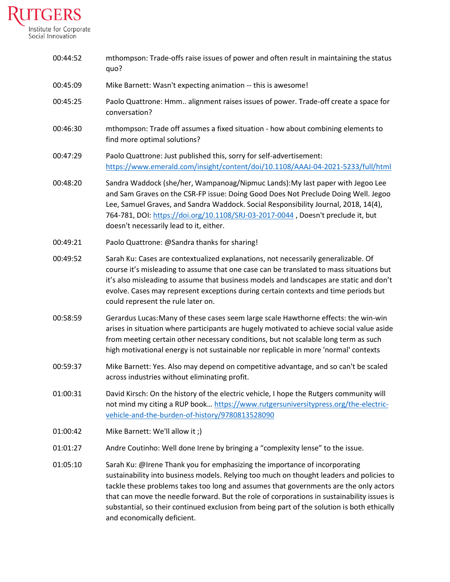

| 00:44:52 | mthompson: Trade-offs raise issues of power and often result in maintaining the status<br>quo?                                                                                                                                                                                                                                                                                                                                                                                              |
|----------|---------------------------------------------------------------------------------------------------------------------------------------------------------------------------------------------------------------------------------------------------------------------------------------------------------------------------------------------------------------------------------------------------------------------------------------------------------------------------------------------|
| 00:45:09 | Mike Barnett: Wasn't expecting animation -- this is awesome!                                                                                                                                                                                                                                                                                                                                                                                                                                |
| 00:45:25 | Paolo Quattrone: Hmm alignment raises issues of power. Trade-off create a space for<br>conversation?                                                                                                                                                                                                                                                                                                                                                                                        |
| 00:46:30 | mthompson: Trade off assumes a fixed situation - how about combining elements to<br>find more optimal solutions?                                                                                                                                                                                                                                                                                                                                                                            |
| 00:47:29 | Paolo Quattrone: Just published this, sorry for self-advertisement:<br>https://www.emerald.com/insight/content/doi/10.1108/AAAJ-04-2021-5233/full/html                                                                                                                                                                                                                                                                                                                                      |
| 00:48:20 | Sandra Waddock (she/her, Wampanoag/Nipmuc Lands): My last paper with Jegoo Lee<br>and Sam Graves on the CSR-FP issue: Doing Good Does Not Preclude Doing Well. Jegoo<br>Lee, Samuel Graves, and Sandra Waddock. Social Responsibility Journal, 2018, 14(4),<br>764-781, DOI: https://doi.org/10.1108/SRJ-03-2017-0044, Doesn't preclude it, but<br>doesn't necessarily lead to it, either.                                                                                                  |
| 00:49:21 | Paolo Quattrone: @Sandra thanks for sharing!                                                                                                                                                                                                                                                                                                                                                                                                                                                |
| 00:49:52 | Sarah Ku: Cases are contextualized explanations, not necessarily generalizable. Of<br>course it's misleading to assume that one case can be translated to mass situations but<br>it's also misleading to assume that business models and landscapes are static and don't<br>evolve. Cases may represent exceptions during certain contexts and time periods but<br>could represent the rule later on.                                                                                       |
| 00:58:59 | Gerardus Lucas: Many of these cases seem large scale Hawthorne effects: the win-win<br>arises in situation where participants are hugely motivated to achieve social value aside<br>from meeting certain other necessary conditions, but not scalable long term as such<br>high motivational energy is not sustainable nor replicable in more 'normal' contexts                                                                                                                             |
| 00:59:37 | Mike Barnett: Yes. Also may depend on competitive advantage, and so can't be scaled<br>across industries without eliminating profit.                                                                                                                                                                                                                                                                                                                                                        |
| 01:00:31 | David Kirsch: On the history of the electric vehicle, I hope the Rutgers community will<br>not mind my citing a RUP book https://www.rutgersuniversitypress.org/the-electric-<br>vehicle-and-the-burden-of-history/9780813528090                                                                                                                                                                                                                                                            |
| 01:00:42 | Mike Barnett: We'll allow it ;)                                                                                                                                                                                                                                                                                                                                                                                                                                                             |
| 01:01:27 | Andre Coutinho: Well done Irene by bringing a "complexity lense" to the issue.                                                                                                                                                                                                                                                                                                                                                                                                              |
| 01:05:10 | Sarah Ku: @Irene Thank you for emphasizing the importance of incorporating<br>sustainability into business models. Relying too much on thought leaders and policies to<br>tackle these problems takes too long and assumes that governments are the only actors<br>that can move the needle forward. But the role of corporations in sustainability issues is<br>substantial, so their continued exclusion from being part of the solution is both ethically<br>and economically deficient. |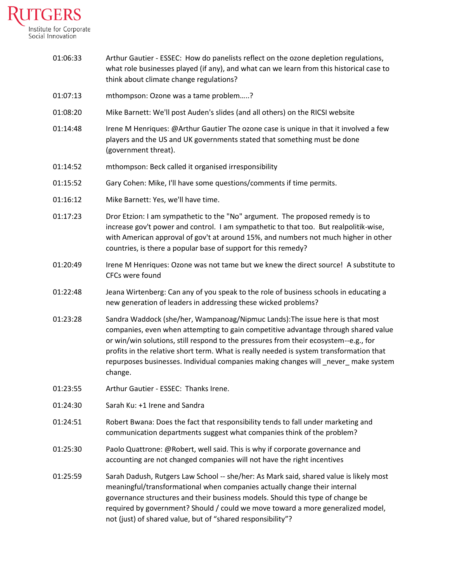

- 01:06:33 Arthur Gautier ESSEC: How do panelists reflect on the ozone depletion regulations, what role businesses played (if any), and what can we learn from this historical case to think about climate change regulations? 01:07:13 mthompson: Ozone was a tame problem…..?
- 01:08:20 Mike Barnett: We'll post Auden's slides (and all others) on the RICSI website
- 01:14:48 Irene M Henriques: @Arthur Gautier The ozone case is unique in that it involved a few players and the US and UK governments stated that something must be done (government threat).
- 01:14:52 mthompson: Beck called it organised irresponsibility
- 01:15:52 Gary Cohen: Mike, I'll have some questions/comments if time permits.
- 01:16:12 Mike Barnett: Yes, we'll have time.
- 01:17:23 Dror Etzion: I am sympathetic to the "No" argument. The proposed remedy is to increase gov't power and control. I am sympathetic to that too. But realpolitik-wise, with American approval of gov't at around 15%, and numbers not much higher in other countries, is there a popular base of support for this remedy?
- 01:20:49 Irene M Henriques: Ozone was not tame but we knew the direct source! A substitute to CFCs were found
- 01:22:48 Jeana Wirtenberg: Can any of you speak to the role of business schools in educating a new generation of leaders in addressing these wicked problems?
- 01:23:28 Sandra Waddock (she/her, Wampanoag/Nipmuc Lands):The issue here is that most companies, even when attempting to gain competitive advantage through shared value or win/win solutions, still respond to the pressures from their ecosystem--e.g., for profits in the relative short term. What is really needed is system transformation that repurposes businesses. Individual companies making changes will \_never\_ make system change.
- 01:23:55 Arthur Gautier ESSEC: Thanks Irene.
- 01:24:30 Sarah Ku: +1 Irene and Sandra
- 01:24:51 Robert Bwana: Does the fact that responsibility tends to fall under marketing and communication departments suggest what companies think of the problem?
- 01:25:30 Paolo Quattrone: @Robert, well said. This is why if corporate governance and accounting are not changed companies will not have the right incentives
- 01:25:59 Sarah Dadush, Rutgers Law School -- she/her: As Mark said, shared value is likely most meaningful/transformational when companies actually change their internal governance structures and their business models. Should this type of change be required by government? Should / could we move toward a more generalized model, not (just) of shared value, but of "shared responsibility"?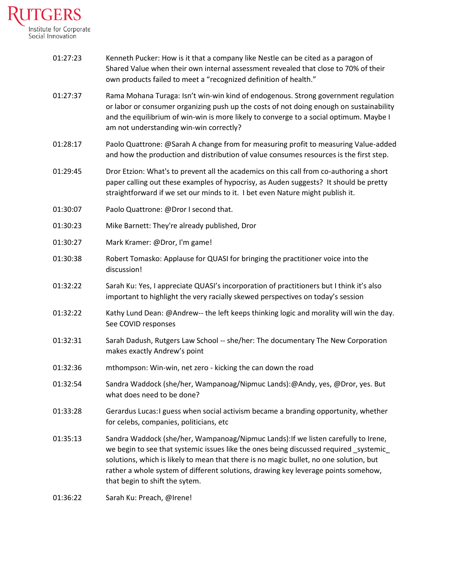

| 01:27:23 | Kenneth Pucker: How is it that a company like Nestle can be cited as a paragon of<br>Shared Value when their own internal assessment revealed that close to 70% of their<br>own products failed to meet a "recognized definition of health."                                                                                                                                                   |
|----------|------------------------------------------------------------------------------------------------------------------------------------------------------------------------------------------------------------------------------------------------------------------------------------------------------------------------------------------------------------------------------------------------|
| 01:27:37 | Rama Mohana Turaga: Isn't win-win kind of endogenous. Strong government regulation<br>or labor or consumer organizing push up the costs of not doing enough on sustainability<br>and the equilibrium of win-win is more likely to converge to a social optimum. Maybe I<br>am not understanding win-win correctly?                                                                             |
| 01:28:17 | Paolo Quattrone: @Sarah A change from for measuring profit to measuring Value-added<br>and how the production and distribution of value consumes resources is the first step.                                                                                                                                                                                                                  |
| 01:29:45 | Dror Etzion: What's to prevent all the academics on this call from co-authoring a short<br>paper calling out these examples of hypocrisy, as Auden suggests? It should be pretty<br>straightforward if we set our minds to it. I bet even Nature might publish it.                                                                                                                             |
| 01:30:07 | Paolo Quattrone: @Dror I second that.                                                                                                                                                                                                                                                                                                                                                          |
| 01:30:23 | Mike Barnett: They're already published, Dror                                                                                                                                                                                                                                                                                                                                                  |
| 01:30:27 | Mark Kramer: @Dror, I'm game!                                                                                                                                                                                                                                                                                                                                                                  |
| 01:30:38 | Robert Tomasko: Applause for QUASI for bringing the practitioner voice into the<br>discussion!                                                                                                                                                                                                                                                                                                 |
| 01:32:22 | Sarah Ku: Yes, I appreciate QUASI's incorporation of practitioners but I think it's also<br>important to highlight the very racially skewed perspectives on today's session                                                                                                                                                                                                                    |
| 01:32:22 | Kathy Lund Dean: @Andrew-- the left keeps thinking logic and morality will win the day.<br>See COVID responses                                                                                                                                                                                                                                                                                 |
| 01:32:31 | Sarah Dadush, Rutgers Law School -- she/her: The documentary The New Corporation<br>makes exactly Andrew's point                                                                                                                                                                                                                                                                               |
| 01:32:36 | mthompson: Win-win, net zero - kicking the can down the road                                                                                                                                                                                                                                                                                                                                   |
| 01:32:54 | Sandra Waddock (she/her, Wampanoag/Nipmuc Lands):@Andy, yes, @Dror, yes. But<br>what does need to be done?                                                                                                                                                                                                                                                                                     |
| 01:33:28 | Gerardus Lucas: I guess when social activism became a branding opportunity, whether<br>for celebs, companies, politicians, etc                                                                                                                                                                                                                                                                 |
| 01:35:13 | Sandra Waddock (she/her, Wampanoag/Nipmuc Lands): If we listen carefully to Irene,<br>we begin to see that systemic issues like the ones being discussed required _systemic_<br>solutions, which is likely to mean that there is no magic bullet, no one solution, but<br>rather a whole system of different solutions, drawing key leverage points somehow,<br>that begin to shift the sytem. |
| 01:36:22 | Sarah Ku: Preach, @Irene!                                                                                                                                                                                                                                                                                                                                                                      |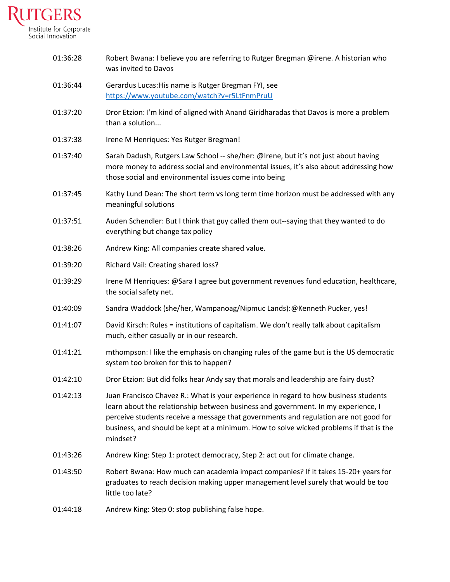

| 01:36:28 | Robert Bwana: I believe you are referring to Rutger Bregman @irene. A historian who<br>was invited to Davos                                                                                                                                                                                                                                                             |
|----------|-------------------------------------------------------------------------------------------------------------------------------------------------------------------------------------------------------------------------------------------------------------------------------------------------------------------------------------------------------------------------|
| 01:36:44 | Gerardus Lucas: His name is Rutger Bregman FYI, see<br>https://www.youtube.com/watch?v=r5LtFnmPruU                                                                                                                                                                                                                                                                      |
| 01:37:20 | Dror Etzion: I'm kind of aligned with Anand Giridharadas that Davos is more a problem<br>than a solution                                                                                                                                                                                                                                                                |
| 01:37:38 | Irene M Henriques: Yes Rutger Bregman!                                                                                                                                                                                                                                                                                                                                  |
| 01:37:40 | Sarah Dadush, Rutgers Law School -- she/her: @Irene, but it's not just about having<br>more money to address social and environmental issues, it's also about addressing how<br>those social and environmental issues come into being                                                                                                                                   |
| 01:37:45 | Kathy Lund Dean: The short term vs long term time horizon must be addressed with any<br>meaningful solutions                                                                                                                                                                                                                                                            |
| 01:37:51 | Auden Schendler: But I think that guy called them out--saying that they wanted to do<br>everything but change tax policy                                                                                                                                                                                                                                                |
| 01:38:26 | Andrew King: All companies create shared value.                                                                                                                                                                                                                                                                                                                         |
| 01:39:20 | Richard Vail: Creating shared loss?                                                                                                                                                                                                                                                                                                                                     |
| 01:39:29 | Irene M Henriques: @Sara I agree but government revenues fund education, healthcare,<br>the social safety net.                                                                                                                                                                                                                                                          |
| 01:40:09 | Sandra Waddock (she/her, Wampanoag/Nipmuc Lands):@Kenneth Pucker, yes!                                                                                                                                                                                                                                                                                                  |
| 01:41:07 | David Kirsch: Rules = institutions of capitalism. We don't really talk about capitalism<br>much, either casually or in our research.                                                                                                                                                                                                                                    |
| 01:41:21 | mthompson: I like the emphasis on changing rules of the game but is the US democratic<br>system too broken for this to happen?                                                                                                                                                                                                                                          |
| 01:42:10 | Dror Etzion: But did folks hear Andy say that morals and leadership are fairy dust?                                                                                                                                                                                                                                                                                     |
| 01:42:13 | Juan Francisco Chavez R.: What is your experience in regard to how business students<br>learn about the relationship between business and government. In my experience, I<br>perceive students receive a message that governments and regulation are not good for<br>business, and should be kept at a minimum. How to solve wicked problems if that is the<br>mindset? |
| 01:43:26 | Andrew King: Step 1: protect democracy, Step 2: act out for climate change.                                                                                                                                                                                                                                                                                             |
| 01:43:50 | Robert Bwana: How much can academia impact companies? If it takes 15-20+ years for<br>graduates to reach decision making upper management level surely that would be too<br>little too late?                                                                                                                                                                            |
| 01:44:18 | Andrew King: Step 0: stop publishing false hope.                                                                                                                                                                                                                                                                                                                        |